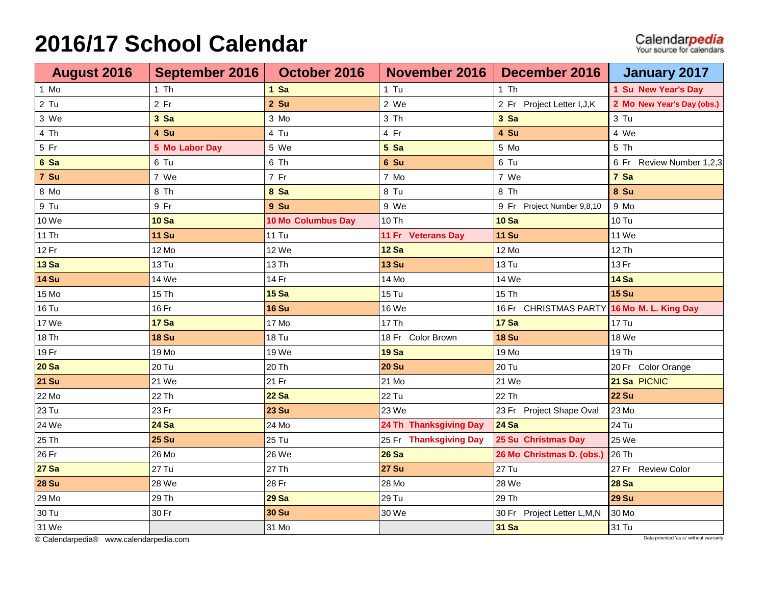## **2016/17 School Calendar**

| <b>August 2016</b> | September 2016 | October 2016              | November 2016          | December 2016               | <b>January 2017</b>        |
|--------------------|----------------|---------------------------|------------------------|-----------------------------|----------------------------|
| 1 Mo               | $1$ Th         | $1$ Sa                    | $1$ Tu                 | $1$ Th                      | 1 Su New Year's Day        |
| $2$ Tu             | $2$ Fr         | $2$ Su                    | 2 We                   | 2 Fr Project Letter I, J, K | 2 Mo New Year's Day (obs.) |
| 3 We               | 3 Sa           | 3 Mo                      | 3 Th                   | 3 Sa                        | 3 Tu                       |
| 4 Th               | 4 Su           | 4 Tu                      | 4 Fr                   | 4 Su                        | 4 We                       |
| 5 Fr               | 5 Mo Labor Day | 5 We                      | 5 Sa                   | 5 Mo                        | 5 Th                       |
| 6 Sa               | 6 Tu           | 6 Th                      | 6 Su                   | 6 Tu                        | 6 Fr Review Number 1,2,3   |
| 7 Su               | 7 We           | 7 Fr                      | 7 Mo                   | 7 We                        | 7 Sa                       |
| 8 Mo               | 8 Th           | 8 Sa                      | 8 Tu                   | 8 Th                        | 8 Su                       |
| 9 Tu               | 9 Fr           | 9 Su                      | 9 We                   | 9 Fr Project Number 9,8,10  | 9 Mo                       |
| 10 We              | <b>10 Sa</b>   | <b>10 Mo Columbus Day</b> | 10 Th                  | <b>10 Sa</b>                | <b>10 Tu</b>               |
| 11 Th              | <b>11 Su</b>   | <b>11 Tu</b>              | 11 Fr Veterans Day     | <b>11 Su</b>                | 11 We                      |
| 12 Fr              | 12 Mo          | 12 We                     | <b>12 Sa</b>           | 12 Mo                       | 12 Th                      |
| <b>13 Sa</b>       | <b>13 Tu</b>   | 13 Th                     | <b>13 Su</b>           | 13 Tu                       | 13 Fr                      |
| <b>14 Su</b>       | 14 We          | 14 Fr                     | 14 Mo                  | 14 We                       | <b>14 Sa</b>               |
| 15 Mo              | 15 Th          | <b>15 Sa</b>              | $15$ Tu                | 15 Th                       | <b>15 Su</b>               |
| <b>16 Tu</b>       | 16 Fr          | <b>16 Su</b>              | 16 We                  | 16 Fr CHRISTMAS PARTY       | 16 Mo M. L. King Day       |
| 17 We              | <b>17 Sa</b>   | 17 Mo                     | 17 Th                  | <b>17 Sa</b>                | 17 Tu                      |
| 18 Th              | <b>18 Su</b>   | <b>18 Tu</b>              | 18 Fr Color Brown      | <b>18 Su</b>                | 18 We                      |
| 19 Fr              | 19 Mo          | 19 We                     | <b>19 Sa</b>           | 19 Mo                       | 19 Th                      |
| <b>20 Sa</b>       | 20 Tu          | 20 Th                     | <b>20 Su</b>           | 20 Tu                       | 20 Fr Color Orange         |
| <b>21 Su</b>       | 21 We          | 21 Fr                     | 21 Mo                  | 21 We                       | 21 Sa PICNIC               |
| 22 Mo              | 22 Th          | <b>22 Sa</b>              | 22 Tu                  | 22 Th                       | <b>22 Su</b>               |
| 23 Tu              | 23 Fr          | <b>23 Su</b>              | 23 We                  | 23 Fr Project Shape Oval    | 23 Mo                      |
| 24 We              | <b>24 Sa</b>   | 24 Mo                     | 24 Th Thanksgiving Day | <b>24 Sa</b>                | 24 Tu                      |
| 25 Th              | <b>25 Su</b>   | 25 Tu                     | 25 Fr Thanksgiving Day | 25 Su Christmas Day         | 25 We                      |
| 26 Fr              | 26 Mo          | 26 We                     | <b>26 Sa</b>           | 26 Mo Christmas D. (obs.)   | 26 Th                      |
| <b>27 Sa</b>       | 27 Tu          | 27 Th                     | <b>27 Su</b>           | 27 Tu                       | 27 Fr Review Color         |
| <b>28 Su</b>       | 28 We          | 28 Fr                     | 28 Mo                  | 28 We                       | <b>28 Sa</b>               |
| 29 Mo              | 29 Th          | <b>29 Sa</b>              | 29 Tu                  | 29 Th                       | <b>29 Su</b>               |
| 30 Tu              | 30 Fr          | <b>30 Su</b>              | 30 We                  | 30 Fr Project Letter L,M,N  | 30 Mo                      |
| 31 We              |                | 31 Mo                     |                        | <b>31 Sa</b>                | 31 Tu                      |

**Calendarpedia®** [www.calendarpedia.com](http://www.calendarpedia.com/) Data provided 'as is' without warranty